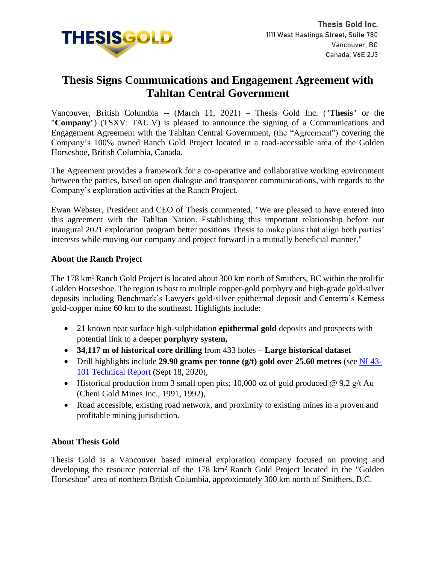

# **Thesis Signs Communications and Engagement Agreement with Tahltan Central Government**

Vancouver, British Columbia -- (March 11, 2021) – Thesis Gold Inc. ("**Thesis**" or the "**Company**") (TSXV: TAU.V) is pleased to announce the signing of a Communications and Engagement Agreement with the Tahltan Central Government, (the "Agreement") covering the Company's 100% owned Ranch Gold Project located in a road-accessible area of the Golden Horseshoe, British Columbia, Canada.

The Agreement provides a framework for a co-operative and collaborative working environment between the parties, based on open dialogue and transparent communications, with regards to the Company's exploration activities at the Ranch Project.

Ewan Webster, President and CEO of Thesis commented, "We are pleased to have entered into this agreement with the Tahltan Nation. Establishing this important relationship before our inaugural 2021 exploration program better positions Thesis to make plans that align both parties' interests while moving our company and project forward in a mutually beneficial manner."

### **About the Ranch Project**

The 178 km<sup>2</sup> Ranch Gold Project is located about 300 km north of Smithers, BC within the prolific Golden Horseshoe. The region is host to multiple copper-gold porphyry and high-grade gold-silver deposits including Benchmark's Lawyers gold-silver epithermal deposit and Centerra's Kemess gold-copper mine 60 km to the southeast. Highlights include:

- 21 known near surface high-sulphidation **epithermal gold** deposits and prospects with potential link to a deeper **porphyry system,**
- **34,117 m of historical core drilling** from 433 holes **Large historical dataset**
- Drill highlights include **29.90 grams per tonne (g/t) gold over 25.60 metres** (see [NI 43-](https://www.sedar.com/CheckCode.do) [101 Technical Report](https://www.sedar.com/CheckCode.do) (Sept 18, 2020),
- Historical production from 3 small open pits; 10,000 oz of gold produced @ 9.2 g/t Au (Cheni Gold Mines Inc., 1991, 1992),
- Road accessible, existing road network, and proximity to existing mines in a proven and profitable mining jurisdiction.

## **About Thesis Gold**

Thesis Gold is a Vancouver based mineral exploration company focused on proving and developing the resource potential of the 178 km<sup>2</sup> Ranch Gold Project located in the "Golden" Horseshoe" area of northern British Columbia, approximately 300 km north of Smithers, B.C.